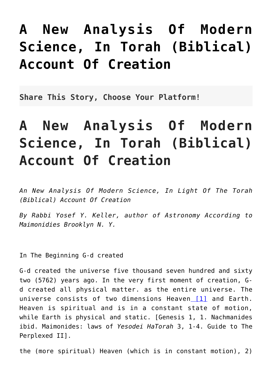## **[A New Analysis Of Modern](http://noahide.org/a-new-analysis-of-modern-science-in-torah-biblical-account-of-creation/) [Science, In Torah \(Biblical\)](http://noahide.org/a-new-analysis-of-modern-science-in-torah-biblical-account-of-creation/) [Account Of Creation](http://noahide.org/a-new-analysis-of-modern-science-in-torah-biblical-account-of-creation/)**

**Share This Story, Choose Your Platform!**

## **A New Analysis Of Modern Science, In Torah (Biblical) Account Of Creation**

*An New Analysis Of Modern Science, In Light Of The Torah (Biblical) Account Of Creation*

*By Rabbi Yosef Y. Keller, author of Astronomy According to Maimonidies Brooklyn N. Y.*

In The Beginning G-d created

<span id="page-0-0"></span>G-d created the universe five thousand seven hundred and sixty two (5762) years ago. In the very first moment of creation, Gd created all physical matter. as the entire universe. The universe consists of two dimensions Heaven [\[1\]](#page-3-0) and Earth. Heaven is spiritual and is in a constant state of motion, while Earth is physical and static. [Genesis 1, 1. Nachmanides ibid. Maimonides: laws of *Yesodei HaTorah* 3, 1-4. Guide to The Perplexed II].

the (more spiritual) Heaven (which is in constant motion), 2)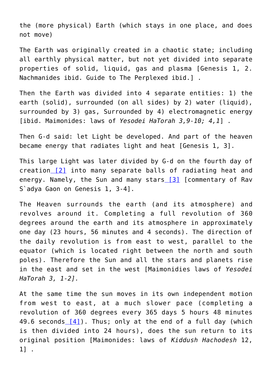the (more physical) Earth (which stays in one place, and does not move)

The Earth was originally created in a chaotic state; including all earthly physical matter, but not yet divided into separate properties of solid, liquid, gas and plasma [Genesis 1, 2. Nachmanides ibid. Guide to The Perplexed ibid.] .

Then the Earth was divided into 4 separate entities: 1) the earth (solid), surrounded (on all sides) by 2) water (liquid), surrounded by 3) gas, Surrounded by 4) electromagnetic energy [ibid. Maimonides: laws of *Yesodei HaTorah 3,9-10; 4,1*] .

Then G-d said: let Light be developed. And part of the heaven became energy that radiates light and heat [Genesis 1, 3].

<span id="page-1-1"></span><span id="page-1-0"></span>This large Light was later divided by G-d on the fourth day of creation [\[2\]](#page-3-1) into many separate balls of radiating heat and energy. Namely, the Sun and many stars  $[3]$  [commentary of Rav S`adya Gaon on Genesis 1, 3-4].

The Heaven surrounds the earth (and its atmosphere) and revolves around it. Completing a full revolution of 360 degrees around the earth and its atmosphere in approximately one day (23 hours, 56 minutes and 4 seconds). The direction of the daily revolution is from east to west, parallel to the equator (which is located right between the north and south poles). Therefore the Sun and all the stars and planets rise in the east and set in the west [Maimonidies laws of *Yesodei HaTorah 3, 1-2].*

<span id="page-1-2"></span>At the same time the sun moves in its own independent motion from west to east, at a much slower pace (completing a revolution of 360 degrees every 365 days 5 hours 48 minutes 49.6 seconds  $[4]$ ). Thus; only at the end of a full day (which is then divided into 24 hours), does the sun return to its original position [Maimonides: laws of *Kiddush Hachodesh* 12, 1] .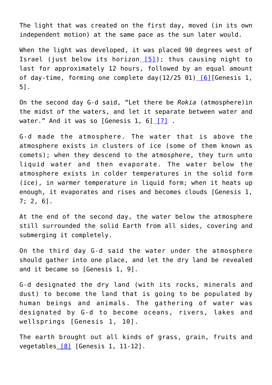The light that was created on the first day, moved (in its own independent motion) at the same pace as the sun later would.

<span id="page-2-0"></span>When the light was developed, it was placed 90 degrees west of Israel (just below its horizon [\[5\]\)](#page-4-2); thus causing night to last for approximately 12 hours, followed by an equal amount of day-time, forming one complete day(12/25 01[\) \[6\]](#page-4-3)[Genesis 1, 5].

<span id="page-2-1"></span>On the second day G-d said, "Let there be *Rokia* (atmosphere)in the midst of the waters, and let it separate between water and water." And it was so [Genesis 1, 6]  $[7]$ .

<span id="page-2-2"></span>G-d made the atmosphere. The water that is above the atmosphere exists in clusters of ice (some of them known as comets); when they descend to the atmosphere, they turn unto liquid water and then evaporate. The water below the atmosphere exists in colder temperatures in the solid form (ice), in warmer temperature in liquid form; when it heats up enough, it evaporates and rises and becomes clouds [Genesis 1, 7; 2, 6].

At the end of the second day, the water below the atmosphere still surrounded the solid Earth from all sides, covering and submerging it completely.

On the third day G-d said the water under the atmosphere should gather into one place, and let the dry land be revealed and it became so [Genesis 1, 9].

G-d designated the dry land (with its rocks, minerals and dust) to become the land that is going to be populated by human beings and animals. The gathering of water was designated by G-d to become oceans, rivers, lakes and wellsprings [Genesis 1, 10].

<span id="page-2-3"></span>The earth brought out all kinds of grass, grain, fruits and vegetables  $[8]$  [Genesis 1, 11-12].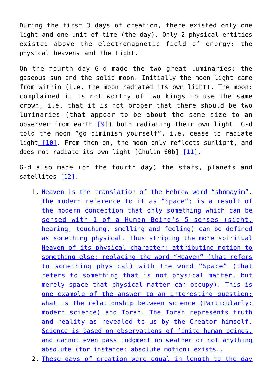During the first 3 days of creation, there existed only one light and one unit of time (the day). Only 2 physical entities existed above the electromagnetic field of energy: the physical heavens and the Light.

On the fourth day G-d made the two great luminaries: the gaseous sun and the solid moon. Initially the moon light came from within (i.e. the moon radiated its own light). The moon: complained it is not worthy of two kings to use the same crown, i.e. that it is not proper that there should be two luminaries (that appear to be about the same size to an observer from earth [\[9\]\)](#page-5-1) both radiating their own light. G-d told the moon "go diminish yourself", i.e. cease to radiate light [\[10\].](#page-5-2) From then on, the moon only reflects sunlight, and does not radiate its own light [Chulin 60b] [\[11\].](#page-6-0)

<span id="page-3-5"></span><span id="page-3-4"></span><span id="page-3-3"></span><span id="page-3-2"></span><span id="page-3-0"></span>G-d also made (on the fourth day) the stars, planets and satellites [\[12\]](#page-6-1).

- 1. [Heaven is the translation of the Hebrew word "shomayim".](#page-0-0) [The modern reference to it as "Space"; is a result of](#page-0-0) [the modern conception that only something which can be](#page-0-0) [sensed with 1 of a Human Being's 5 senses \(sight,](#page-0-0) [hearing, touching, smelling and feeling\) can be defined](#page-0-0) [as something physical. Thus striping the more spiritual](#page-0-0) [Heaven of its physical character; attributing motion to](#page-0-0) [something else; replacing the word "Heaven" \(that refers](#page-0-0) [to something physical\) with the word "Space" \(that](#page-0-0) [refers to something that is not physical matter, but](#page-0-0) [merely space that physical matter can occupy\). This is](#page-0-0) [one example of the answer to an interesting question:](#page-0-0) [what is the relationship between science \(Particularly:](#page-0-0) [modern science\) and Torah. The Torah represents truth](#page-0-0) [and reality as revealed to us by the Creator himself.](#page-0-0) [Science is based on observations of finite human beings,](#page-0-0) [and cannot even pass judgment on weather or not anything](#page-0-0) [absolute \(for instance: absolute motion\) exists..](#page-0-0)
- <span id="page-3-1"></span>2. [These days of creation were equal in length to the day](#page-1-0)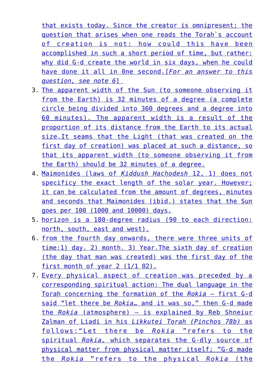[that exists today. Since the creator is omnipresent; the](#page-1-0) [question that arises when one reads the Torah`s account](#page-1-0) [of creation is not: how could this have been](#page-1-0) [accomplished in such a short period of time, but rather:](#page-1-0) [why did G-d create the world in six days, when he could](#page-1-0) [have done it all in 0ne second.\[](#page-1-0)*[For an answer to this](#page-1-0) [question, see note 6](#page-1-0)*[\]](#page-1-0) 

- <span id="page-4-0"></span>3. [The apparent width of the Sun \(to someone observing it](#page-1-1) [from the Earth\) is 32 minutes of a degree \(a complete](#page-1-1) [circle being divided into 360 degrees and a degree into](#page-1-1) [60 minutes\). The apparent width is a result of the](#page-1-1) [proportion of its distance from the Earth to its actual](#page-1-1) [size.It seams that the Light \(that was created on the](#page-1-1) [first day of creation\) was placed at such a distance, so](#page-1-1) [that its apparent width \(to someone observing it from](#page-1-1) [the Earth\) should be 32 minutes of a degree.](#page-1-1)
- <span id="page-4-1"></span>4. [Maimonides \(laws of](#page-1-2) *[Kiddush Hachodesh](#page-1-2)* [12, 1\) does not](#page-1-2) [specificy the exact length of the solar year. However;](#page-1-2) [it can be calculated from the amount of degrees, minutes](#page-1-2) [and seconds that Maimonides \(ibid.\) states that the Sun](#page-1-2) [goes per 100 \(1000 and 10000\) days.](#page-1-2)
- <span id="page-4-2"></span>5. [horizon is a 180-degree radius \(90 to each direction:](#page-2-0) [north, south, east and west\).](#page-2-0)
- <span id="page-4-3"></span>6. [from the fourth day onwards, there were three units of](#page-2-1) [time:1\) day. 2\) month. 3\) Year.The sixth day of creation](#page-2-1) [\(the day that man was created\) was the first day of the](#page-2-1) [first month of year 2 \(1/1 02\).](#page-2-1)
- <span id="page-4-4"></span>7. [Every physical aspect of creation was preceded by a](#page-2-2) [corresponding spiritual action: The dual language in the](#page-2-2) [Torah concerning the formation of the](#page-2-2) *[Rokia](#page-2-2)* [— first G-d](#page-2-2) [said "let there be](#page-2-2) *[Rokia](#page-2-2)*[… and it was so," then G-d made](#page-2-2) [the](#page-2-2) *[Rokia](#page-2-2)* [\(atmosphere\) — is explained by Reb Shneiur](#page-2-2) [Zalman of Liadi in his](#page-2-2) *[Likkutei Torah \(Pinchos 78b\)](#page-2-2)* [as](#page-2-2) [follows:"Let there be](#page-2-2) *[Rokia](#page-2-2)* ["refers to the](#page-2-2) [spiritual](#page-2-2) *[Rokia,](#page-2-2)* [which separates the G-dly source of](#page-2-2) [physical matter from physical matter itself; "G-d made](#page-2-2) [the](#page-2-2) *[Rokia](#page-2-2)* ["refers to the physical](#page-2-2) *[Rokia](#page-2-2)* [\(the](#page-2-2)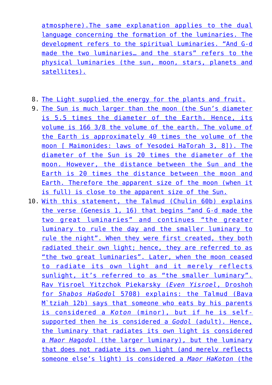[atmosphere\).The same explanation applies to the dual](#page-2-2) [language concerning the formation of the luminaries. The](#page-2-2) [development refers to the spiritual Luminaries. "And G-d](#page-2-2) [made the two luminaries… and the stars" refers to the](#page-2-2) [physical luminaries \(the sun, moon, stars, planets and](#page-2-2) [satellites\).](#page-2-2)

- <span id="page-5-0"></span>8. [The Light supplied the energy for the plants and fruit.](#page-2-3)
- <span id="page-5-1"></span>9. [The Sun is much larger than the moon \(the Sun's diameter](#page-3-2) [is 5.5 times the diameter of the Earth. Hence, its](#page-3-2) [volume is 166 3/8 the volume of the earth. The volume of](#page-3-2) [the Earth is approximately 40 times the volume of the](#page-3-2) [moon \[ Maimonides: laws of Yesodei HaTorah 3, 8\]\). The](#page-3-2) [diameter of the Sun is 20 times the diameter of the](#page-3-2) [moon. However, the distance between the Sun and the](#page-3-2) [Earth is 20 times the distance between the moon and](#page-3-2) [Earth. Therefore the apparent size of the moon \(when it](#page-3-2) [is full\) is close to the apparent size of the Sun.](#page-3-2)
- <span id="page-5-2"></span>10. [With this statement, the Talmud \(Chulin 60b\) explains](#page-3-3) [the verse \(Genesis 1, 16\) that begins "and G-d made the](#page-3-3) [two great luminaries" and continues "the greater](#page-3-3) [luminary to rule the day and the smaller luminary to](#page-3-3) [rule the night". When they were first created, they both](#page-3-3) [radiated their own light; hence, they are referred to as](#page-3-3) ["the two great luminaries". Later, when the moon ceased](#page-3-3) [to radiate its own light and it merely reflects](#page-3-3) [sunlight, it's referred to as "the smaller luminary".](#page-3-3) [Rav Yisroel Yitzchok Piekarsky \(](#page-3-3)*[Even Yisroel](#page-3-3)*[, Droshoh](#page-3-3) [for](#page-3-3) *[Shabos HaGodol](#page-3-3)* [5708\) explains: the Talmud \(Bava](#page-3-3) M'tziah 12b) says that someone who eats by his parents [is considered a](#page-3-3) *[Koton](#page-3-3)* [\(minor\), but if he is self](#page-3-3)[supported then he is considered a](#page-3-3) *[Godol](#page-3-3)* [\(adult\). Hence,](#page-3-3) [the luminary that radiates its own light is considered](#page-3-3) [a](#page-3-3) *[Maor Ha](#page-3-3)*[g](#page-3-3)*[odol](#page-3-3)* [\(the larger luminary\), but the luminary](#page-3-3) [that does not radiate its own light \(and merely reflects](#page-3-3) [someone else's light\) is considered a](#page-3-3) *[Maor HaKoton](#page-3-3)* [\(the](#page-3-3)